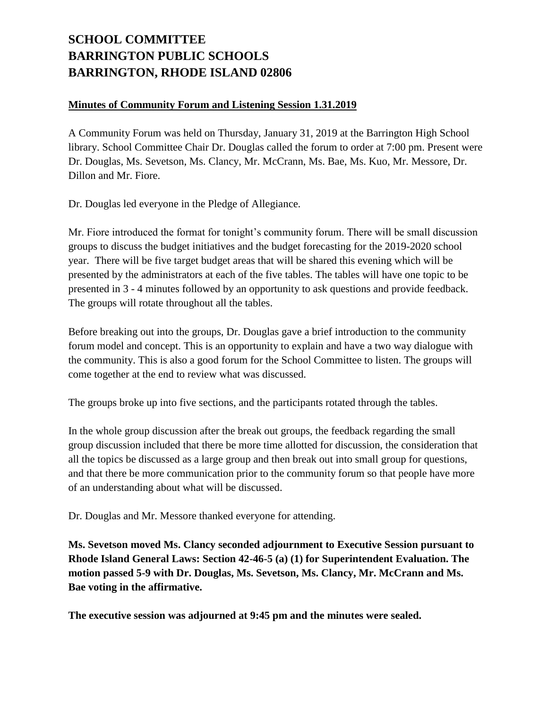## **SCHOOL COMMITTEE BARRINGTON PUBLIC SCHOOLS BARRINGTON, RHODE ISLAND 02806**

## **Minutes of Community Forum and Listening Session 1.31.2019**

A Community Forum was held on Thursday, January 31, 2019 at the Barrington High School library. School Committee Chair Dr. Douglas called the forum to order at 7:00 pm. Present were Dr. Douglas, Ms. Sevetson, Ms. Clancy, Mr. McCrann, Ms. Bae, Ms. Kuo, Mr. Messore, Dr. Dillon and Mr. Fiore.

Dr. Douglas led everyone in the Pledge of Allegiance.

Mr. Fiore introduced the format for tonight's community forum. There will be small discussion groups to discuss the budget initiatives and the budget forecasting for the 2019-2020 school year. There will be five target budget areas that will be shared this evening which will be presented by the administrators at each of the five tables. The tables will have one topic to be presented in 3 - 4 minutes followed by an opportunity to ask questions and provide feedback. The groups will rotate throughout all the tables.

Before breaking out into the groups, Dr. Douglas gave a brief introduction to the community forum model and concept. This is an opportunity to explain and have a two way dialogue with the community. This is also a good forum for the School Committee to listen. The groups will come together at the end to review what was discussed.

The groups broke up into five sections, and the participants rotated through the tables.

In the whole group discussion after the break out groups, the feedback regarding the small group discussion included that there be more time allotted for discussion, the consideration that all the topics be discussed as a large group and then break out into small group for questions, and that there be more communication prior to the community forum so that people have more of an understanding about what will be discussed.

Dr. Douglas and Mr. Messore thanked everyone for attending.

**Ms. Sevetson moved Ms. Clancy seconded adjournment to Executive Session pursuant to Rhode Island General Laws: Section 42-46-5 (a) (1) for Superintendent Evaluation. The motion passed 5-9 with Dr. Douglas, Ms. Sevetson, Ms. Clancy, Mr. McCrann and Ms. Bae voting in the affirmative.**

**The executive session was adjourned at 9:45 pm and the minutes were sealed.**